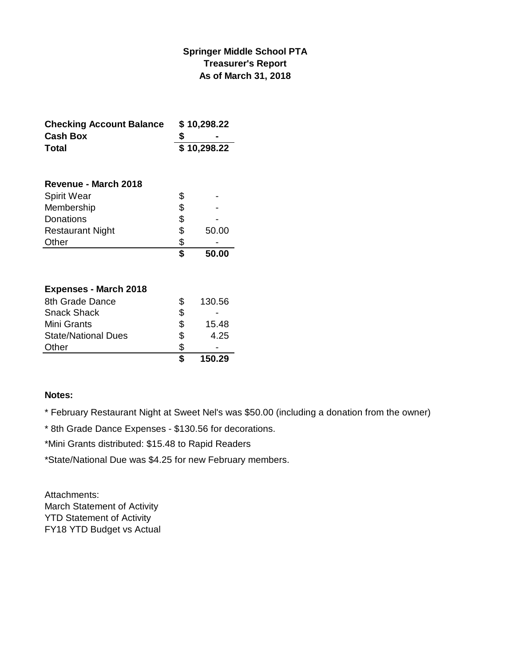### **Springer Middle School PTA Treasurer's Report As of March 31, 2018**

| <b>Checking Account Balance</b> | \$10,298.22 |       |  |
|---------------------------------|-------------|-------|--|
| <b>Cash Box</b>                 |             |       |  |
| <b>Total</b>                    | \$10,298.22 |       |  |
| Revenue - March 2018            |             |       |  |
| <b>Spirit Wear</b>              | \$          |       |  |
| Membership                      | \$          |       |  |
| Donations                       | \$          |       |  |
| <b>Restaurant Night</b>         | \$          | 50.00 |  |
| Other                           | \$          |       |  |
|                                 | \$          | 50.00 |  |
|                                 |             |       |  |
| <b>Expenses - March 2018</b>    |             |       |  |

|                            |    | 150.29 |
|----------------------------|----|--------|
| Other                      | S  |        |
| <b>State/National Dues</b> | \$ | 4.25   |
| Mini Grants                | S  | 15.48  |
| <b>Snack Shack</b>         | \$ |        |
| 8th Grade Dance            | S  | 130.56 |
|                            |    |        |

#### **Notes:**

\* February Restaurant Night at Sweet Nel's was \$50.00 (including a donation from the owner)

\* 8th Grade Dance Expenses - \$130.56 for decorations.

\*Mini Grants distributed: \$15.48 to Rapid Readers

\*State/National Due was \$4.25 for new February members.

Attachments: March Statement of Activity YTD Statement of Activity FY18 YTD Budget vs Actual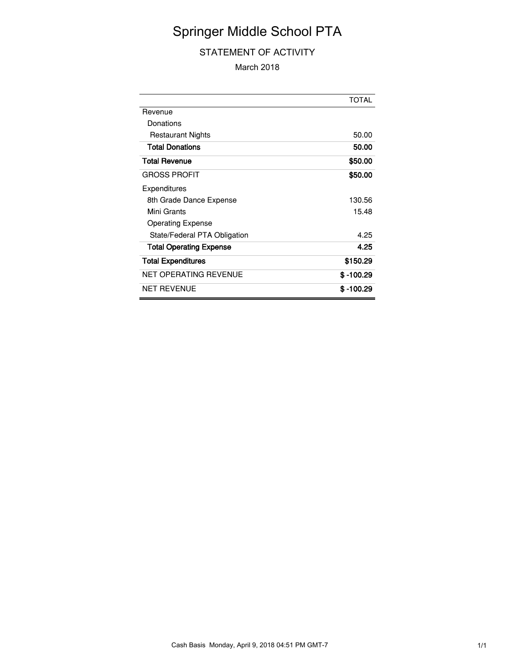# Springer Middle School PTA

### STATEMENT OF ACTIVITY

March 2018

|                                | <b>TOTAL</b> |
|--------------------------------|--------------|
| Revenue                        |              |
| Donations                      |              |
| <b>Restaurant Nights</b>       | 50.00        |
| <b>Total Donations</b>         | 50.00        |
| <b>Total Revenue</b>           | \$50.00      |
| <b>GROSS PROFIT</b>            | \$50.00      |
| Expenditures                   |              |
| 8th Grade Dance Expense        | 130.56       |
| Mini Grants                    | 15.48        |
| <b>Operating Expense</b>       |              |
| State/Federal PTA Obligation   | 4.25         |
| <b>Total Operating Expense</b> | 4.25         |
| <b>Total Expenditures</b>      | \$150.29     |
| NET OPERATING REVENUE          | \$ -100.29   |
| <b>NET REVENUE</b>             | \$ -100.29   |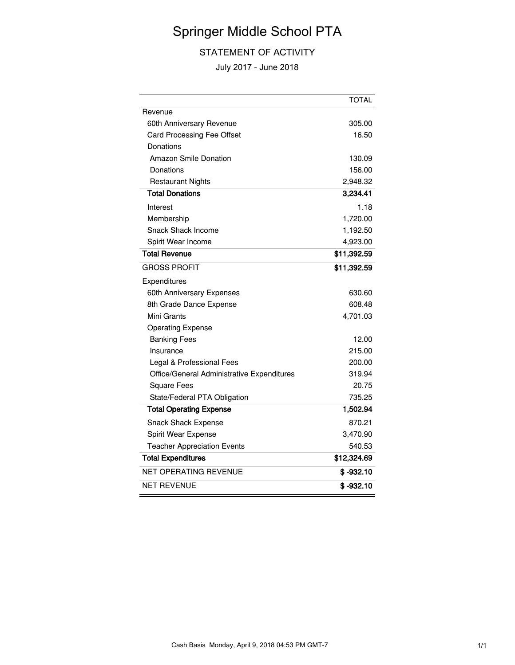# Springer Middle School PTA

### STATEMENT OF ACTIVITY

July 2017 - June 2018

|                                            | <b>TOTAL</b> |
|--------------------------------------------|--------------|
| Revenue                                    |              |
| 60th Anniversary Revenue                   | 305.00       |
| Card Processing Fee Offset                 | 16.50        |
| Donations                                  |              |
| <b>Amazon Smile Donation</b>               | 130.09       |
| Donations                                  | 156.00       |
| <b>Restaurant Nights</b>                   | 2,948.32     |
| <b>Total Donations</b>                     | 3,234.41     |
| Interest                                   | 1.18         |
| Membership                                 | 1,720.00     |
| Snack Shack Income                         | 1,192.50     |
| Spirit Wear Income                         | 4,923.00     |
| <b>Total Revenue</b>                       | \$11,392.59  |
| <b>GROSS PROFIT</b>                        | \$11,392.59  |
| Expenditures                               |              |
| 60th Anniversary Expenses                  | 630.60       |
| 8th Grade Dance Expense                    | 608.48       |
| Mini Grants                                | 4,701.03     |
| <b>Operating Expense</b>                   |              |
| <b>Banking Fees</b>                        | 12.00        |
| Insurance                                  | 215.00       |
| Legal & Professional Fees                  | 200.00       |
| Office/General Administrative Expenditures | 319.94       |
| <b>Square Fees</b>                         | 20.75        |
| State/Federal PTA Obligation               | 735.25       |
| <b>Total Operating Expense</b>             | 1,502.94     |
| <b>Snack Shack Expense</b>                 | 870.21       |
| Spirit Wear Expense                        | 3,470.90     |
| <b>Teacher Appreciation Events</b>         | 540.53       |
| <b>Total Expenditures</b>                  | \$12,324.69  |
| <b>NET OPERATING REVENUE</b>               | $$ -932.10$  |
| <b>NET REVENUE</b>                         | $$ -932.10$  |